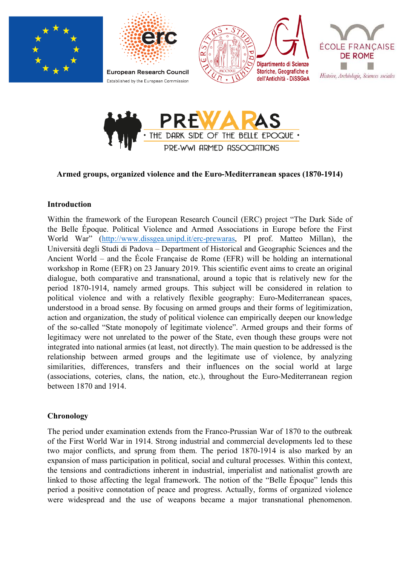



Established by the European Commission





Histoire, Archéologie, Sciences sociales



# **Armed groups, organized violence and the Euro-Mediterranean spaces (1870-1914)**

## **Introduction**

Within the framework of the European Research Council (ERC) project "The Dark Side of the Belle Époque. Political Violence and Armed Associations in Europe before the First World War" (http://www.dissgea.unipd.it/erc-prewaras, PI prof. Matteo Millan), the Università degli Studi di Padova – Department of Historical and Geographic Sciences and the Ancient World – and the École Française de Rome (EFR) will be holding an international workshop in Rome (EFR) on 23 January 2019. This scientific event aims to create an original dialogue, both comparative and transnational, around a topic that is relatively new for the period 1870-1914, namely armed groups. This subject will be considered in relation to political violence and with a relatively flexible geography: Euro-Mediterranean spaces, understood in a broad sense. By focusing on armed groups and their forms of legitimization, action and organization, the study of political violence can empirically deepen our knowledge of the so-called "State monopoly of legitimate violence". Armed groups and their forms of legitimacy were not unrelated to the power of the State, even though these groups were not integrated into national armies (at least, not directly). The main question to be addressed is the relationship between armed groups and the legitimate use of violence, by analyzing similarities, differences, transfers and their influences on the social world at large (associations, coteries, clans, the nation, etc.), throughout the Euro-Mediterranean region between 1870 and 1914.

## **Chronology**

The period under examination extends from the Franco-Prussian War of 1870 to the outbreak of the First World War in 1914. Strong industrial and commercial developments led to these two major conflicts, and sprung from them. The period 1870-1914 is also marked by an expansion of mass participation in political, social and cultural processes. Within this context, the tensions and contradictions inherent in industrial, imperialist and nationalist growth are linked to those affecting the legal framework. The notion of the "Belle Époque" lends this period a positive connotation of peace and progress. Actually, forms of organized violence were widespread and the use of weapons became a major transnational phenomenon.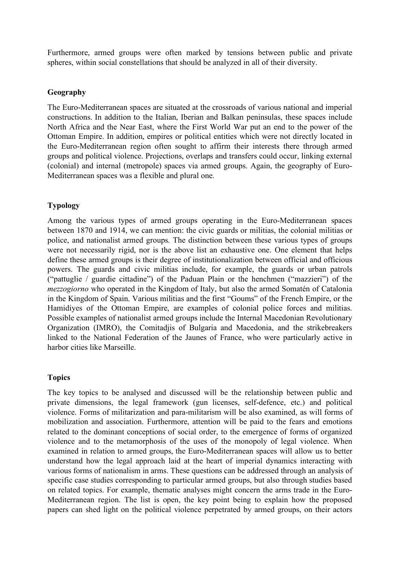Furthermore, armed groups were often marked by tensions between public and private spheres, within social constellations that should be analyzed in all of their diversity.

### **Geography**

The Euro-Mediterranean spaces are situated at the crossroads of various national and imperial constructions. In addition to the Italian, Iberian and Balkan peninsulas, these spaces include North Africa and the Near East, where the First World War put an end to the power of the Ottoman Empire. In addition, empires or political entities which were not directly located in the Euro-Mediterranean region often sought to affirm their interests there through armed groups and political violence. Projections, overlaps and transfers could occur, linking external (colonial) and internal (metropole) spaces via armed groups. Again, the geography of Euro-Mediterranean spaces was a flexible and plural one.

# **Typology**

Among the various types of armed groups operating in the Euro-Mediterranean spaces between 1870 and 1914, we can mention: the civic guards or militias, the colonial militias or police, and nationalist armed groups. The distinction between these various types of groups were not necessarily rigid, nor is the above list an exhaustive one. One element that helps define these armed groups is their degree of institutionalization between official and officious powers. The guards and civic militias include, for example, the guards or urban patrols ("pattuglie / guardie cittadine") of the Paduan Plain or the henchmen ("mazzieri") of the *mezzogiorno* who operated in the Kingdom of Italy, but also the armed Somatén of Catalonia in the Kingdom of Spain. Various militias and the first "Goums" of the French Empire, or the Hamidiyes of the Ottoman Empire, are examples of colonial police forces and militias. Possible examples of nationalist armed groups include the Internal Macedonian Revolutionary Organization (IMRO), the Comitadjis of Bulgaria and Macedonia, and the strikebreakers linked to the National Federation of the Jaunes of France, who were particularly active in harbor cities like Marseille.

## **Topics**

The key topics to be analysed and discussed will be the relationship between public and private dimensions, the legal framework (gun licenses, self-defence, etc.) and political violence. Forms of militarization and para-militarism will be also examined, as will forms of mobilization and association. Furthermore, attention will be paid to the fears and emotions related to the dominant conceptions of social order, to the emergence of forms of organized violence and to the metamorphosis of the uses of the monopoly of legal violence. When examined in relation to armed groups, the Euro-Mediterranean spaces will allow us to better understand how the legal approach laid at the heart of imperial dynamics interacting with various forms of nationalism in arms. These questions can be addressed through an analysis of specific case studies corresponding to particular armed groups, but also through studies based on related topics. For example, thematic analyses might concern the arms trade in the Euro-Mediterranean region. The list is open, the key point being to explain how the proposed papers can shed light on the political violence perpetrated by armed groups, on their actors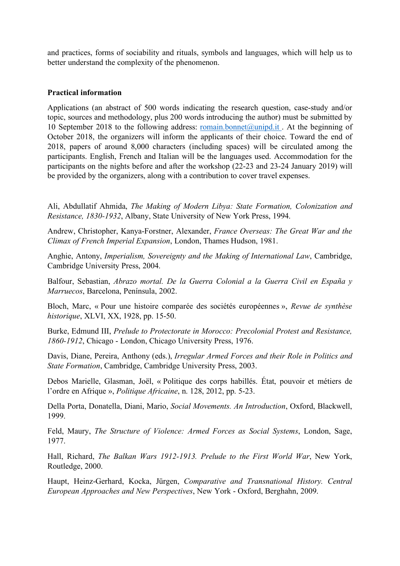and practices, forms of sociability and rituals, symbols and languages, which will help us to better understand the complexity of the phenomenon.

#### **Practical information**

Applications (an abstract of 500 words indicating the research question, case-study and/or topic, sources and methodology, plus 200 words introducing the author) must be submitted by 10 September 2018 to the following address: romain.bonnet@unipd.it. At the beginning of October 2018, the organizers will inform the applicants of their choice. Toward the end of 2018, papers of around 8,000 characters (including spaces) will be circulated among the participants. English, French and Italian will be the languages used. Accommodation for the participants on the nights before and after the workshop (22-23 and 23-24 January 2019) will be provided by the organizers, along with a contribution to cover travel expenses.

Ali, Abdullatif Ahmida, *The Making of Modern Libya: State Formation, Colonization and Resistance, 1830-1932*, Albany, State University of New York Press, 1994.

Andrew, Christopher, Kanya-Forstner, Alexander, *France Overseas: The Great War and the Climax of French Imperial Expansion*, London, Thames Hudson, 1981.

Anghie, Antony, *Imperialism, Sovereignty and the Making of International Law*, Cambridge, Cambridge University Press, 2004.

Balfour, Sebastian, *Abrazo mortal. De la Guerra Colonial a la Guerra Civil en España y Marruecos*, Barcelona, Península, 2002.

Bloch, Marc, « Pour une histoire comparée des sociétés européennes », *Revue de synthèse historique*, XLVI, XX, 1928, pp. 15-50.

Burke, Edmund III, *Prelude to Protectorate in Morocco: Precolonial Protest and Resistance, 1860-1912*, Chicago - London, Chicago University Press, 1976.

Davis, Diane, Pereira, Anthony (eds.), *Irregular Armed Forces and their Role in Politics and State Formation*, Cambridge, Cambridge University Press, 2003.

Debos Marielle, Glasman, Joël, « Politique des corps habillés. État, pouvoir et métiers de l'ordre en Afrique », *Politique Africaine*, n. 128, 2012, pp. 5-23.

Della Porta, Donatella, Diani, Mario, *Social Movements. An Introduction*, Oxford, Blackwell, 1999.

Feld, Maury, *The Structure of Violence: Armed Forces as Social Systems*, London, Sage, 1977.

Hall, Richard, *The Balkan Wars 1912-1913. Prelude to the First World War*, New York, Routledge, 2000.

Haupt, Heinz-Gerhard, Kocka, Jürgen, *Comparative and Transnational History. Central European Approaches and New Perspectives*, New York - Oxford, Berghahn, 2009.